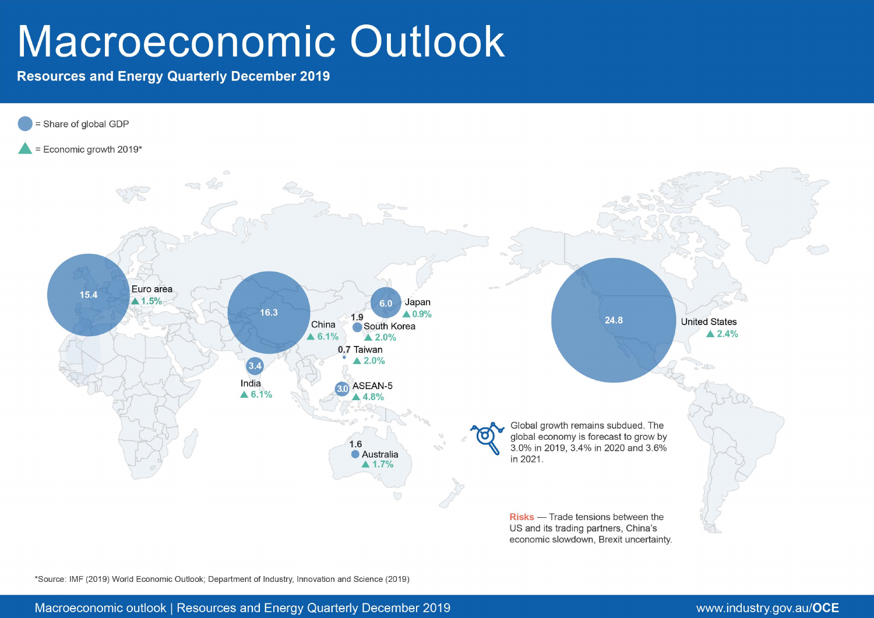# Macroeconomic Outlook

**Resources and Energy Quarterly December 2019** 



\*Source: IMF (2019) World Economic Outlook; Department of Industry, Innovation and Science (2019)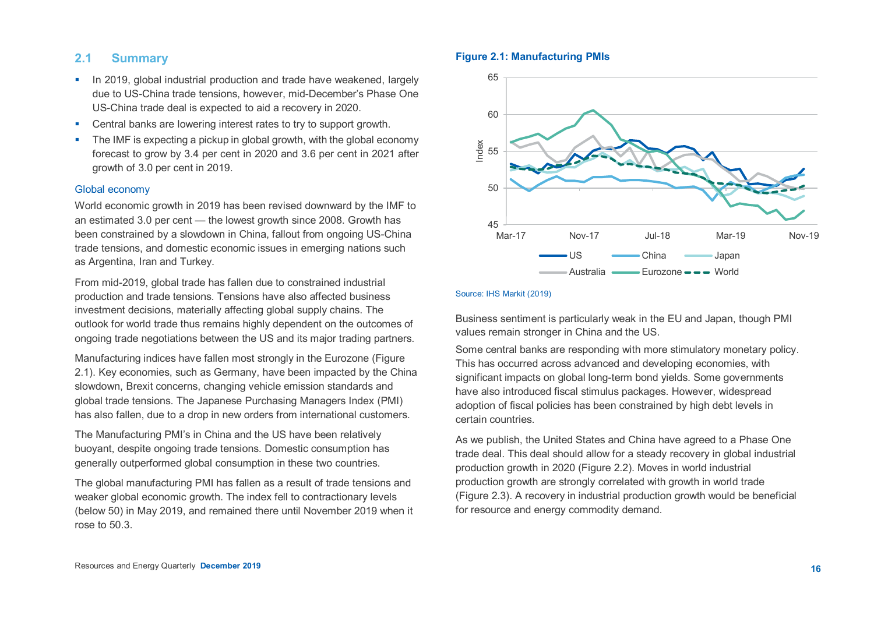# **2.1 Summary**

- $\blacksquare$  In 2019, global industrial production and trade have weakened, largely due to US-China trade tensions, however, mid-December's Phase One US-China trade deal is expected to aid a recovery in 2020.
- Central banks are lowering interest rates to try to support growth.
- The IMF is expecting a pickup in global growth, with the global economy forecast to grow by 3.4 per cent in 2020 and 3.6 per cent in 2021 after growth of 3.0 per cent in 2019.

# Global economy

World economic growth in 2019 has been revised downward by the IMF to an estimated 3.0 per cent — the lowest growth since 2008. Growth has been constrained by a slowdown in China, fallout from ongoing US-China trade tensions, and domestic economic issues in emerging nations such as Argentina, Iran and Turkey.

From mid-2019, global trade has fallen due to constrained industrial production and trade tensions. Tensions have also affected business investment decisions, materially affecting global supply chains. The outlook for world trade thus remains highly dependent on the outcomes of ongoing trade negotiations between the US and its major trading partners.

Manufacturing indices have fallen most strongly in the Eurozone (Figure 2.1). Key economies, such as Germany, have been impacted by the China slowdown, Brexit concerns, changing vehicle emission standards and global trade tensions. The Japanese Purchasing Managers Index (PMI) has also fallen, due to a drop in new orders from international customers.

The Manufacturing PMI's in China and the US have been relatively buoyant, despite ongoing trade tensions. Domestic consumption has generally outperformed global consumption in these two countries.

The global manufacturing PMI has fallen as a result of trade tensions and weaker global economic growth. The index fell to contractionary levels (below 50) in May 2019, and remained there until November 2019 when it rose to 50.3.

#### **Figure 2.1: Manufacturing PMIs**



#### Source: IHS Markit (2019)

Business sentiment is particularly weak in the EU and Japan, though PMI values remain stronger in China and the US.

Some central banks are responding with more stimulatory monetary policy. This has occurred across advanced and developing economies, with significant impacts on global long-term bond yields. Some governments have also introduced fiscal stimulus packages. However, widespread adoption of fiscal policies has been constrained by high debt levels in certain countries.

As we publish, the United States and China have agreed to a Phase One trade deal. This deal should allow for a steady recovery in global industrial production growth in 2020 (Figure 2.2). Moves in world industrial production growth are strongly correlated with growth in world trade (Figure 2.3). A recovery in industrial production growth would be beneficial for resource and energy commodity demand.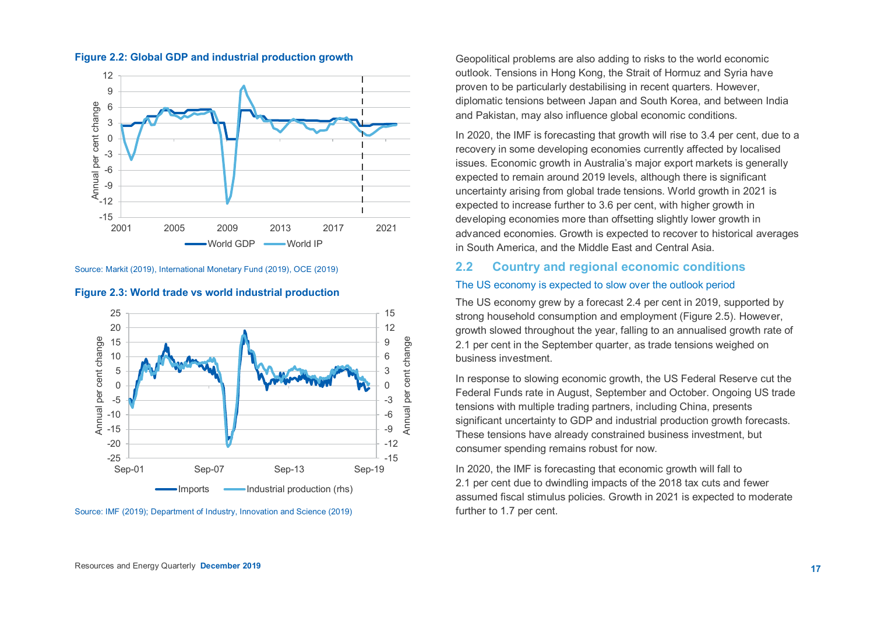

#### **Figure 2.2: Global GDP and industrial production growth**





#### **Figure 2.3: World trade vs world industrial production**

Geopolitical problems are also adding to risks to the world economic outlook. Tensions in Hong Kong, the Strait of Hormuz and Syria have proven to be particularly destabilising in recent quarters. However, diplomatic tensions between Japan and South Korea, and between India and Pakistan, may also influence global economic conditions.

In 2020, the IMF is forecasting that growth will rise to 3.4 per cent, due to a recovery in some developing economies currently affected by localised issues. Economic growth in Australia's major export markets is generally expected to remain around 2019 levels, although there is significant uncertainty arising from global trade tensions. World growth in 2021 is expected to increase further to 3.6 per cent, with higher growth in developing economies more than offsetting slightly lower growth in advanced economies. Growth is expected to recover to historical averages in South America, and the Middle East and Central Asia.

# **2.2 Country and regional economic conditions**

# The US economy is expected to slow over the outlook period

The US economy grew by a forecast 2.4 per cent in 2019, supported by strong household consumption and employment (Figure 2.5). However, growth slowed throughout the year, falling to an annualised growth rate of 2.1 per cent in the September quarter, as trade tensions weighed on business investment.

In response to slowing economic growth, the US Federal Reserve cut the Federal Funds rate in August, September and October. Ongoing US trade tensions with multiple trading partners, including China, presents significant uncertainty to GDP and industrial production growth forecasts. These tensions have already constrained business investment, but consumer spending remains robust for now.

In 2020, the IMF is forecasting that economic growth will fall to 2.1 per cent due to dwindling impacts of the 2018 tax cuts and fewer assumed fiscal stimulus policies. Growth in 2021 is expected to moderate further to 1.7 per cent.

Source: IMF (2019); Department of Industry, Innovation and Science (2019)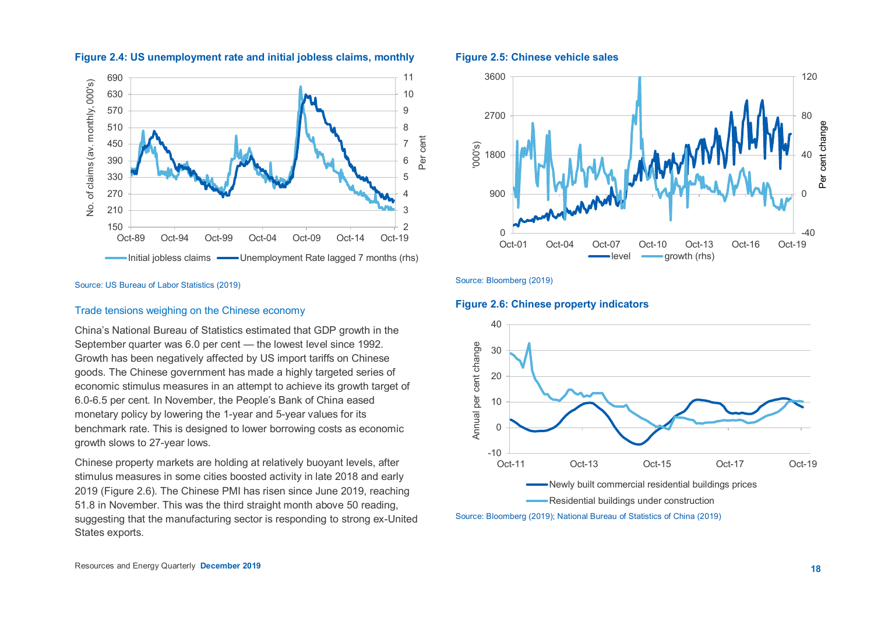

# **Figure 2.4: US unemployment rate and initial jobless claims, monthly**

#### Source: US Bureau of Labor Statistics (2019)

#### Trade tensions weighing on the Chinese economy

China's National Bureau of Statistics estimated that GDP growth in the September quarter was 6.0 per cent — the lowest level since 1992. Growth has been negatively affected by US import tariffs on Chinese goods. The Chinese government has made a highly targeted series of economic stimulus measures in an attempt to achieve its growth target of 6.0-6.5 per cent. In November, the People's Bank of China eased monetary policy by lowering the 1-year and 5-year values for its benchmark rate. This is designed to lower borrowing costs as economic growth slows to 27-year lows.

Chinese property markets are holding at relatively buoyant levels, after stimulus measures in some cities boosted activity in late 2018 and early 2019 (Figure 2.6). The Chinese PMI has risen since June 2019, reaching 51.8 in November. This was the third straight month above 50 reading, suggesting that the manufacturing sector is responding to strong ex-United States exports.

#### **Figure 2.5: Chinese vehicle sales**



Source: Bloomberg (2019)

**Figure 2.6: Chinese property indicators**



Source: Bloomberg (2019); National Bureau of Statistics of China (2019)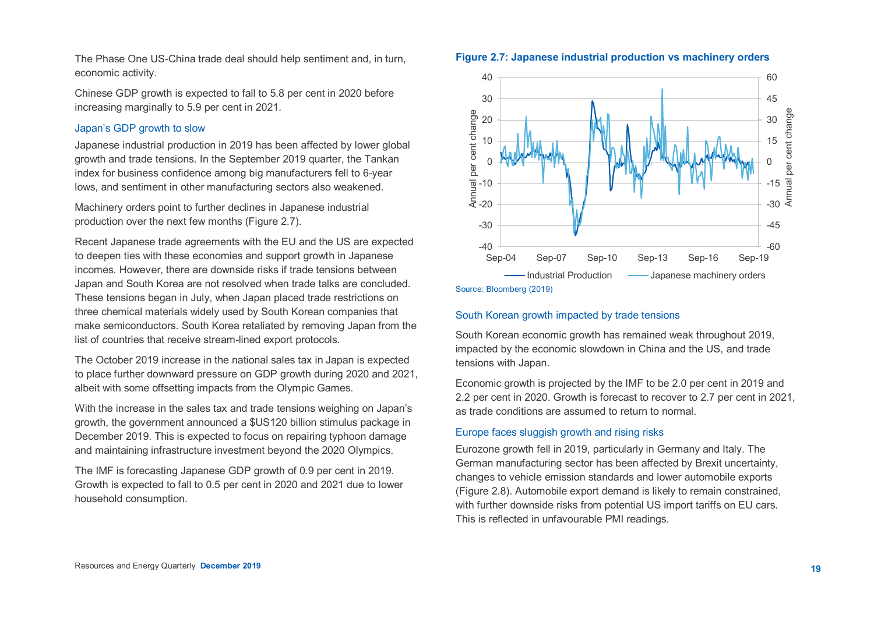The Phase One US-China trade deal should help sentiment and, in turn, economic activity.

Chinese GDP growth is expected to fall to 5.8 per cent in 2020 before increasing marginally to 5.9 per cent in 2021.

# Japan's GDP growth to slow

Japanese industrial production in 2019 has been affected by lower global growth and trade tensions. In the September 2019 quarter, the Tankan index for business confidence among big manufacturers fell to 6-year lows, and sentiment in other manufacturing sectors also weakened.

Machinery orders point to further declines in Japanese industrial production over the next few months (Figure 2.7).

Recent Japanese trade agreements with the EU and the US are expected to deepen ties with these economies and support growth in Japanese incomes. However, there are downside risks if trade tensions between Japan and South Korea are not resolved when trade talks are concluded. These tensions began in July, when Japan placed trade restrictions on three chemical materials widely used by South Korean companies that make semiconductors. South Korea retaliated by removing Japan from the list of countries that receive stream-lined export protocols.

The October 2019 increase in the national sales tax in Japan is expected to place further downward pressure on GDP growth during 2020 and 2021, albeit with some offsetting impacts from the Olympic Games.

With the increase in the sales tax and trade tensions weighing on Japan's growth, the government announced a \$US120 billion stimulus package in December 2019. This is expected to focus on repairing typhoon damage and maintaining infrastructure investment beyond the 2020 Olympics.

The IMF is forecasting Japanese GDP growth of 0.9 per cent in 2019. Growth is expected to fall to 0.5 per cent in 2020 and 2021 due to lower household consumption.





Source: Bloomberg (2019)

# South Korean growth impacted by trade tensions

South Korean economic growth has remained weak throughout 2019, impacted by the economic slowdown in China and the US, and trade tensions with Japan.

Economic growth is projected by the IMF to be 2.0 per cent in 2019 and 2.2 per cent in 2020. Growth is forecast to recover to 2.7 per cent in 2021, as trade conditions are assumed to return to normal.

#### Europe faces sluggish growth and rising risks

Eurozone growth fell in 2019, particularly in Germany and Italy. The German manufacturing sector has been affected by Brexit uncertainty, changes to vehicle emission standards and lower automobile exports (Figure 2.8). Automobile export demand is likely to remain constrained, with further downside risks from potential US import tariffs on EU cars. This is reflected in unfavourable PMI readings.

### **Figure 2.7: Japanese industrial production vs machinery orders**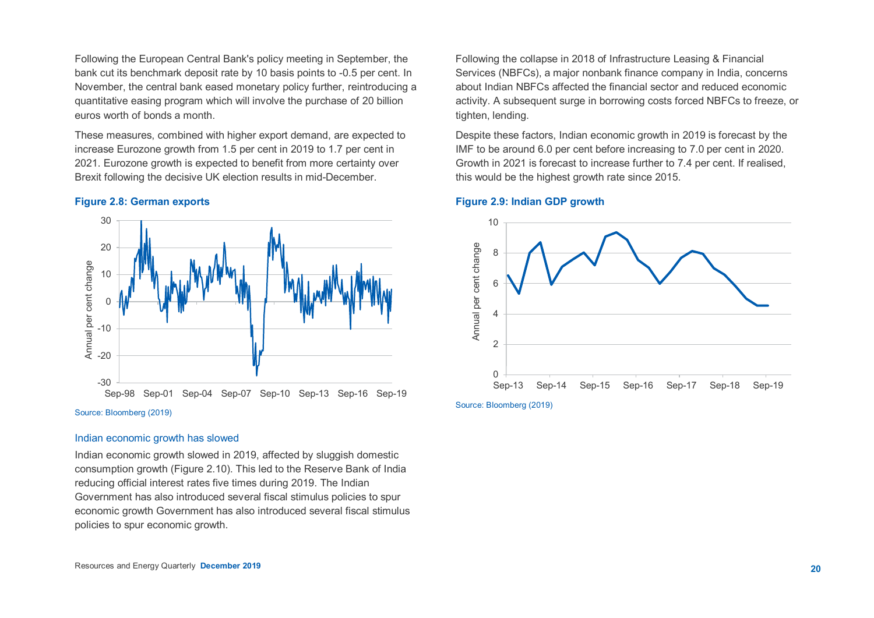Following the European Central Bank's policy meeting in September, the bank cut its benchmark deposit rate by 10 basis points to -0.5 per cent. In November, the central bank eased monetary policy further, reintroducing a quantitative easing program which will involve the purchase of 20 billion euros worth of bonds a month.

These measures, combined with higher export demand, are expected to increase Eurozone growth from 1.5 per cent in 2019 to 1.7 per cent in 2021. Eurozone growth is expected to benefit from more certainty over Brexit following the decisive UK election results in mid-December.

#### **Figure 2.8: German exports**



#### Indian economic growth has slowed

Indian economic growth slowed in 2019, affected by sluggish domestic consumption growth (Figure 2.10). This led to the Reserve Bank of India reducing official interest rates five times during 2019. The Indian Government has also introduced several fiscal stimulus policies to spur economic growth Government has also introduced several fiscal stimulus policies to spur economic growth.

Following the collapse in 2018 of Infrastructure Leasing & Financial Services (NBFCs), a major nonbank finance company in India, concerns about Indian NBFCs affected the financial sector and reduced economic activity. A subsequent surge in borrowing costs forced NBFCs to freeze, or tighten, lending.

Despite these factors, Indian economic growth in 2019 is forecast by the IMF to be around 6.0 per cent before increasing to 7.0 per cent in 2020. Growth in 2021 is forecast to increase further to 7.4 per cent. If realised, this would be the highest growth rate since 2015.



#### **Figure 2.9: Indian GDP growth**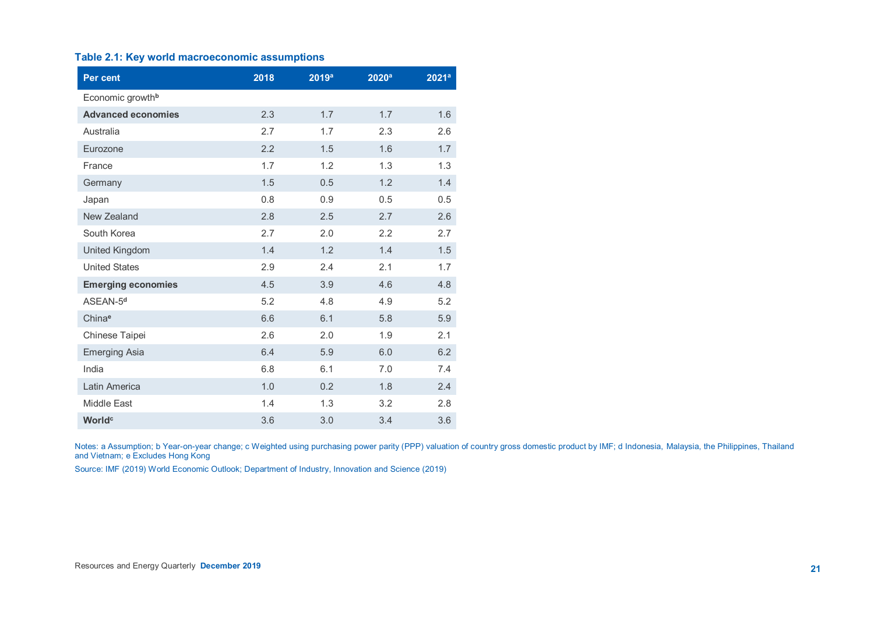#### **Table 2.1: Key world macroeconomic assumptions**

| <b>Per cent</b>              | 2018 | 2019a | 2020 <sup>a</sup> | $2021^a$ |
|------------------------------|------|-------|-------------------|----------|
| Economic growth <sup>b</sup> |      |       |                   |          |
| <b>Advanced economies</b>    | 2.3  | 1.7   | 1.7               | 1.6      |
| Australia                    | 2.7  | 1.7   | 2.3               | 2.6      |
| Eurozone                     | 2.2  | 1.5   | 1.6               | 1.7      |
| France                       | 1.7  | 1.2   | 1.3               | 1.3      |
| Germany                      | 1.5  | 0.5   | 1.2               | 1.4      |
| Japan                        | 0.8  | 0.9   | 0.5               | 0.5      |
| New Zealand                  | 2.8  | 2.5   | 2.7               | 2.6      |
| South Korea                  | 2.7  | 2.0   | 2.2               | 2.7      |
| <b>United Kingdom</b>        | 1.4  | 1.2   | 1.4               | 1.5      |
| <b>United States</b>         | 2.9  | 2.4   | 2.1               | 1.7      |
| <b>Emerging economies</b>    | 4.5  | 3.9   | 4.6               | 4.8      |
| ASEAN-5 <sup>d</sup>         | 5.2  | 4.8   | 4.9               | 5.2      |
| Chinae                       | 6.6  | 6.1   | 5.8               | 5.9      |
| Chinese Taipei               | 2.6  | 2.0   | 1.9               | 2.1      |
| <b>Emerging Asia</b>         | 6.4  | 5.9   | 6.0               | 6.2      |
| India                        | 6.8  | 6.1   | 7.0               | 7.4      |
| Latin America                | 1.0  | 0.2   | 1.8               | 2.4      |
| Middle East                  | 1.4  | 1.3   | 3.2               | 2.8      |
| World <sup>c</sup>           | 3.6  | 3.0   | 3.4               | 3.6      |

Notes: a Assumption; b Year-on-year change; c Weighted using purchasing power parity (PPP) valuation of country gross domestic product by IMF; d Indonesia, Malaysia, the Philippines, Thailand and Vietnam; e Excludes Hong Kong

Source: IMF (2019) World Economic Outlook; Department of Industry, Innovation and Science (2019)